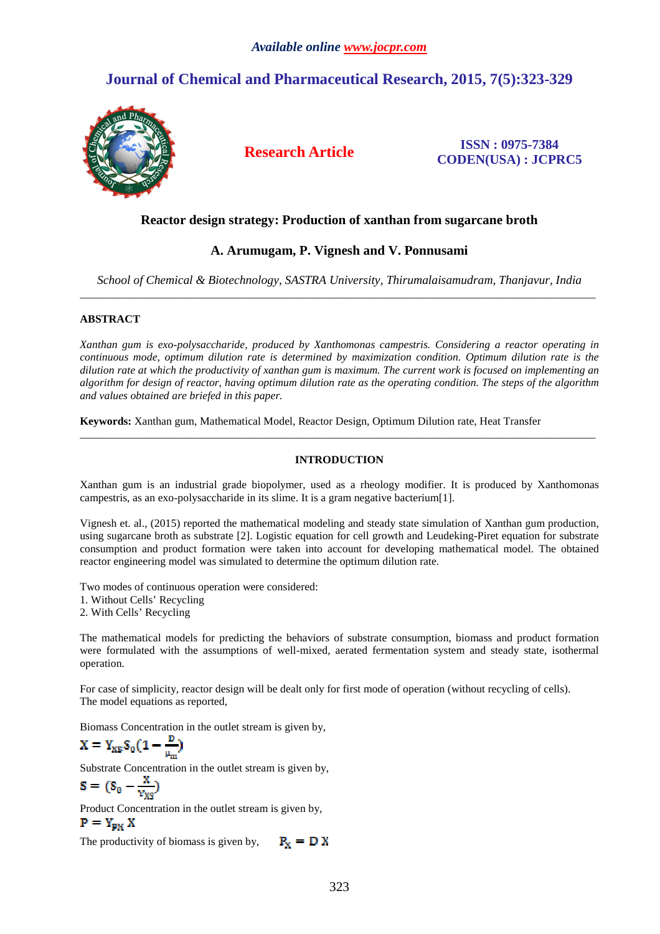# **Journal of Chemical and Pharmaceutical Research, 2015, 7(5):323-329**



**Research Article ISSN : 0975-7384 CODEN(USA) : JCPRC5**

## **Reactor design strategy: Production of xanthan from sugarcane broth**

## **A. Arumugam, P. Vignesh and V. Ponnusami**

*School of Chemical & Biotechnology, SASTRA University, Thirumalaisamudram, Thanjavur, India*  \_\_\_\_\_\_\_\_\_\_\_\_\_\_\_\_\_\_\_\_\_\_\_\_\_\_\_\_\_\_\_\_\_\_\_\_\_\_\_\_\_\_\_\_\_\_\_\_\_\_\_\_\_\_\_\_\_\_\_\_\_\_\_\_\_\_\_\_\_\_\_\_\_\_\_\_\_\_\_\_\_\_\_\_\_\_\_\_\_\_\_\_\_

## **ABSTRACT**

*Xanthan gum is exo-polysaccharide, produced by Xanthomonas campestris. Considering a reactor operating in continuous mode, optimum dilution rate is determined by maximization condition. Optimum dilution rate is the dilution rate at which the productivity of xanthan gum is maximum. The current work is focused on implementing an algorithm for design of reactor, having optimum dilution rate as the operating condition. The steps of the algorithm and values obtained are briefed in this paper.* 

**Keywords:** Xanthan gum, Mathematical Model, Reactor Design, Optimum Dilution rate, Heat Transfer

## **INTRODUCTION**

\_\_\_\_\_\_\_\_\_\_\_\_\_\_\_\_\_\_\_\_\_\_\_\_\_\_\_\_\_\_\_\_\_\_\_\_\_\_\_\_\_\_\_\_\_\_\_\_\_\_\_\_\_\_\_\_\_\_\_\_\_\_\_\_\_\_\_\_\_\_\_\_\_\_\_\_\_\_\_\_\_\_\_\_\_\_\_\_\_\_\_\_\_

Xanthan gum is an industrial grade biopolymer, used as a rheology modifier. It is produced by Xanthomonas campestris, as an exo-polysaccharide in its slime. It is a gram negative bacterium[1].

Vignesh et. al., (2015) reported the mathematical modeling and steady state simulation of Xanthan gum production, using sugarcane broth as substrate [2]. Logistic equation for cell growth and Leudeking-Piret equation for substrate consumption and product formation were taken into account for developing mathematical model. The obtained reactor engineering model was simulated to determine the optimum dilution rate.

Two modes of continuous operation were considered: 1. Without Cells' Recycling 2. With Cells' Recycling

The mathematical models for predicting the behaviors of substrate consumption, biomass and product formation were formulated with the assumptions of well-mixed, aerated fermentation system and steady state, isothermal operation.

For case of simplicity, reactor design will be dealt only for first mode of operation (without recycling of cells). The model equations as reported,

Biomass Concentration in the outlet stream is given by,

$$
X = Y_{XS}S_0(1-\frac{D}{\mu_m})
$$

Substrate Concentration in the outlet stream is given by,

$$
S = (S_0 - \frac{x}{y_{XS}})
$$

Product Concentration in the outlet stream is given by,

 $P = Y_{px} X$ 

The productivity of biomass is given by,  $P_x = D X$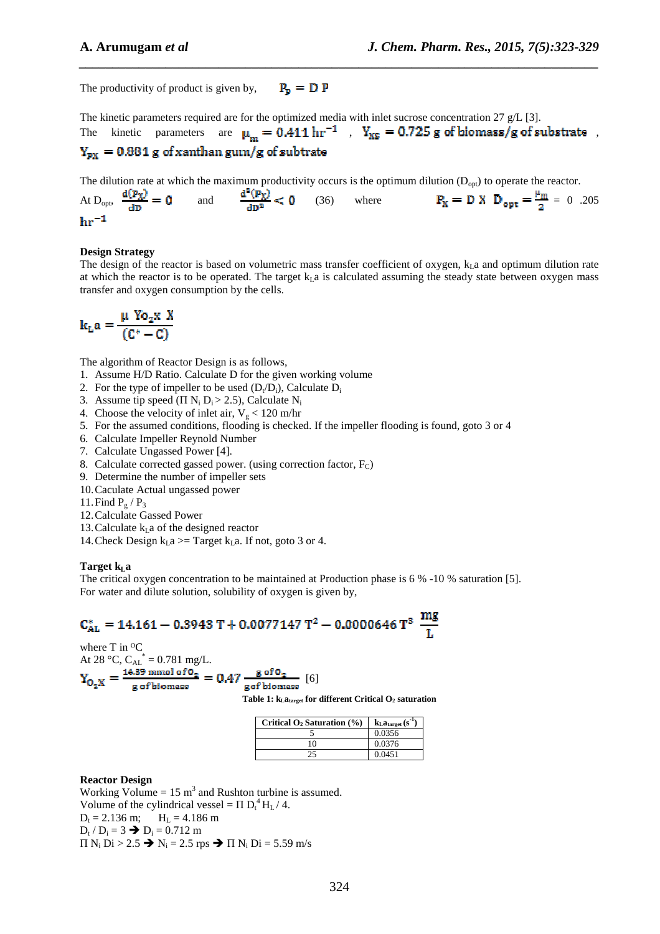The productivity of product is given by,  $P_p = D P$ 

The kinetic parameters required are for the optimized media with inlet sucrose concentration 27  $g/L$  [3]. The kinetic parameters are  $\mu_m = 0.411 \text{ hr}^{-1}$ ,  $Y_{XS} = 0.725 \text{ g of biomass/g of substrate}$ ,

*\_\_\_\_\_\_\_\_\_\_\_\_\_\_\_\_\_\_\_\_\_\_\_\_\_\_\_\_\_\_\_\_\_\_\_\_\_\_\_\_\_\_\_\_\_\_\_\_\_\_\_\_\_\_\_\_\_\_\_\_\_\_\_\_\_\_\_\_\_\_\_\_\_\_\_\_\_\_*

## $Y_{px}$  = 0.881 g of xanthan gum/g of subtrate

The dilution rate at which the maximum productivity occurs is the optimum dilution  $(D_{opt})$  to operate the reactor.

At D<sub>opt</sub>,  $\frac{d(P_X)}{dD} = 0$  and  $\frac{d^2(P_X)}{dD^2} < 0$  (36) where  $P_X = D X D_{opt} = \frac{\mu_m}{2} = 0$  .205  $hr^{-1}$ 

## **Design Strategy**

The design of the reactor is based on volumetric mass transfer coefficient of oxygen,  $k_1$  a and optimum dilution rate at which the reactor is to be operated. The target  $k_1$  a is calculated assuming the steady state between oxygen mass transfer and oxygen consumption by the cells.

$$
\mathbf{k}_{\mathrm{L}}\mathbf{a} = \frac{\mu \text{ Yo}_{2} \mathbf{x} \text{ X}}{(C^{*} - C)}
$$

The algorithm of Reactor Design is as follows,

- 1. Assume H/D Ratio. Calculate D for the given working volume
- 2. For the type of impeller to be used  $(D_t/D_i)$ , Calculate  $D_i$
- 3. Assume tip speed  $(\Pi N_i D_i > 2.5)$ , Calculate  $N_i$
- 4. Choose the velocity of inlet air,  $V_g < 120$  m/hr
- 5. For the assumed conditions, flooding is checked. If the impeller flooding is found, goto 3 or 4
- 6. Calculate Impeller Reynold Number
- 7. Calculate Ungassed Power [4].
- 8. Calculate corrected gassed power. (using correction factor,  $F_C$ )
- 9. Determine the number of impeller sets
- 10.Caculate Actual ungassed power
- 11. Find  $P_g$  /  $P_3$
- 12.Calculate Gassed Power
- 13. Calculate  $k<sub>L</sub>$  a of the designed reactor
- 14. Check Design  $k<sub>L</sub>a$  >= Target  $k<sub>L</sub>a$ . If not, goto 3 or 4.

## **Target k**<sub>L</sub>**a**

The critical oxygen concentration to be maintained at Production phase is 6 % -10 % saturation [5]. For water and dilute solution, solubility of oxygen is given by,

[6]

$$
C_{\text{AL}}^* = 14.161 - 0.3943 \text{ T} + 0.0077147 \text{ T}^2 - 0.0000646 \text{ T}^3 \text{ m} \frac{\text{mg}}{\text{L}}
$$

where T in <sup>o</sup>C

At 28 °C,  $C_{AL}^* = 0.781$  mg/L.

**Table 1: kLatarget for different Critical O2 saturation** 

| Critical $O_2$ Saturation $(\% )$ | $k_{\text{L}}a_{\text{target}}(\text{s}^{\text{-1}})$ |
|-----------------------------------|-------------------------------------------------------|
|                                   | 0.0356                                                |
| 10                                | 0.0376                                                |
|                                   | 0.0451                                                |

#### **Reactor Design**

Working Volume =  $15 \text{ m}^3$  and Rushton turbine is assumed. Volume of the cylindrical vessel =  $\Pi D_t^4 H_L / 4$ .  $D_t = 2.136$  m;  $H_L = 4.186$  m  $D_t / D_i = 3 \rightarrow D_i = 0.712 \text{ m}$  $\Pi$  N<sub>i</sub> Di > 2.5  $\rightarrow$  N<sub>i</sub> = 2.5 rps  $\rightarrow$   $\Pi$  N<sub>i</sub> Di = 5.59 m/s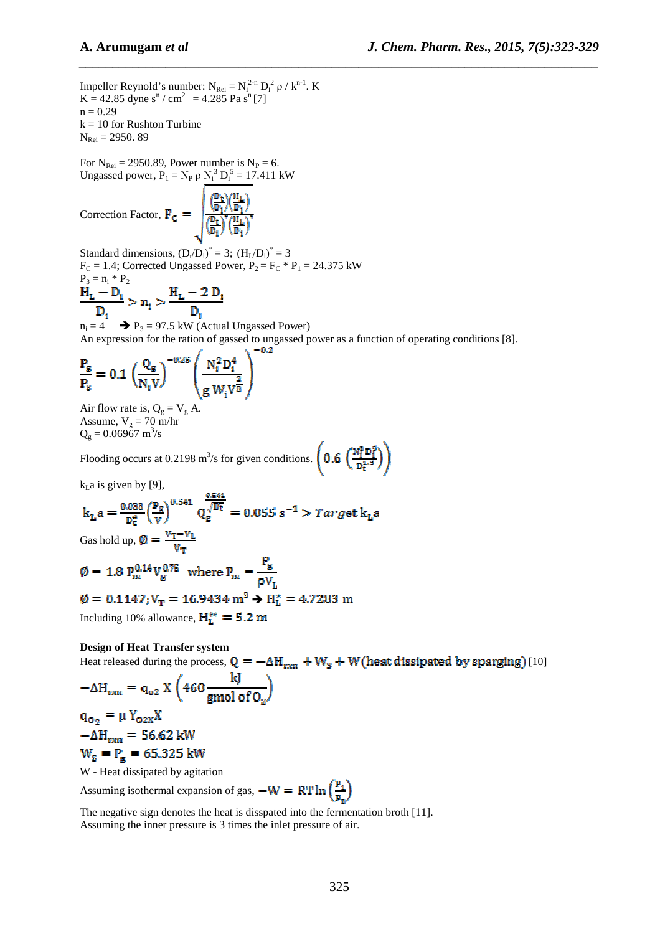Impeller Reynold's number:  $N_{\text{Rei}} = N_i^{2-n} D_i^2 \rho / k^{n-1}$ . K  $K = 42.85$  dyne s<sup>n</sup> / cm<sup>2</sup> = 4.285 Pa s<sup>n</sup>[7]  $n = 0.29$  $k = 10$  for Rushton Turbine  $N_{\text{Rei}} = 2950.89$ 

For  $N_{\text{Rei}} = 2950.89$ , Power number is  $N_P = 6$ . Ungassed power,  $P_1 = N_P \rho N_i^3 D_i^5 = 17.411 \text{ kW}$ 

Correction Factor,  $\mathbf{F_C} = \sqrt{\frac{\left(\frac{\mathbf{D_T}}{\mathbf{D_i}}\right)\left(\frac{\mathbf{H_L}}{\mathbf{D_i}}\right)^2}{\left(\frac{\mathbf{D_L}}{\mathbf{D_i}}\right)^2\left(\frac{\mathbf{H_L}}{\mathbf{D_i}}\right)^2}}$ 

Standard dimensions,  $(D_t/D_i)^* = 3$ ;  $(H_L/D_i)^* = 3$  $F_C = 1.4$ ; Corrected Ungassed Power,  $P_2 = F_C * P_1 = 24.375$  kW  $P_3 = n_i * P_2$ 

$$
\frac{H_{L} - D_{i}}{D_{i}} > n_{i} > \frac{H_{L} - 2 D_{i}}{D_{i}}
$$

 $n_i = 4$   $\rightarrow$   $P_3 = 97.5$  kW (Actual Ungassed Power) An expression for the ration of gassed to ungassed power as a function of operating conditions [8].

*\_\_\_\_\_\_\_\_\_\_\_\_\_\_\_\_\_\_\_\_\_\_\_\_\_\_\_\_\_\_\_\_\_\_\_\_\_\_\_\_\_\_\_\_\_\_\_\_\_\_\_\_\_\_\_\_\_\_\_\_\_\_\_\_\_\_\_\_\_\_\_\_\_\_\_\_\_\_*

$$
\frac{\mathbf{P}_{\rm g}}{\mathbf{P}_{\rm g}} = 0.1 \left( \frac{\mathbf{Q}_{\rm g}}{N_{\rm i} V} \right)^{-0.25} \left( \frac{N_{\rm i}^2 D_{\rm i}^4}{g \, W_{\rm i} V^{\frac{2}{3}}} \right)
$$

Air flow rate is,  $Q_g = V_g A$ . Assume,  $V_g = 70 \text{ m/hr}$  $Q_g = 0.06967$  m<sup>3</sup>/s

Flooding occurs at  $0.2198 \text{ m}^3/\text{s}$  for given conditions.

 $k<sub>L</sub>a$  is given by [9],

$$
k_{\text{L}}a = \frac{0.033}{D_{\text{E}}^4} \left(\frac{P_g}{v}\right)^{0.541} Q_g^{\frac{0.541}{\sqrt{D_{\text{t}}}}} = 0.055 \text{ s}^{-1} > Target \text{ } k_{\text{L}}a
$$

Gas hold up,  $\mathcal{Q} = \frac{v_T - v_L}{V_T}$ 

$$
\phi = 1.8 \text{ P}_m^{0.14} \text{V}_g^{0.75} \text{ where } \text{P}_m = \frac{\text{P}_g}{\rho \text{V}_L}
$$

$$
\emptyset = 0.1147; V_T = 16.9434 \text{ m}^3 \rightarrow H_L^* = 4.7283 \text{ m}
$$

Including 10% allowance,  $H_L^{**} = 5.2$  m

**Design of Heat Transfer system** 

Heat released during the process,  $Q = -\Delta H_{rrn} + W_s + W$  (heat dissipated by sparging) [10]

$$
-\Delta H_{\text{ren}} = q_{\text{o}2} \times \left(460 \frac{\text{kJ}}{\text{gmol of O}_2}\right)
$$
  

$$
q_{\text{o}} = \mu Y_{\text{env}} X
$$

 $q_{0_2} = \mu Y_{02X}A$  $-\Delta H_{\text{ren}} = 56.62 \text{ kW}$  $W_s = P_g = 65.325$  kW

W - Heat dissipated by agitation

Assuming isothermal expansion of gas,  $-W = RT \ln \left(\frac{P_1}{P_2}\right)$ 

The negative sign denotes the heat is disspated into the fermentation broth [11]. Assuming the inner pressure is 3 times the inlet pressure of air.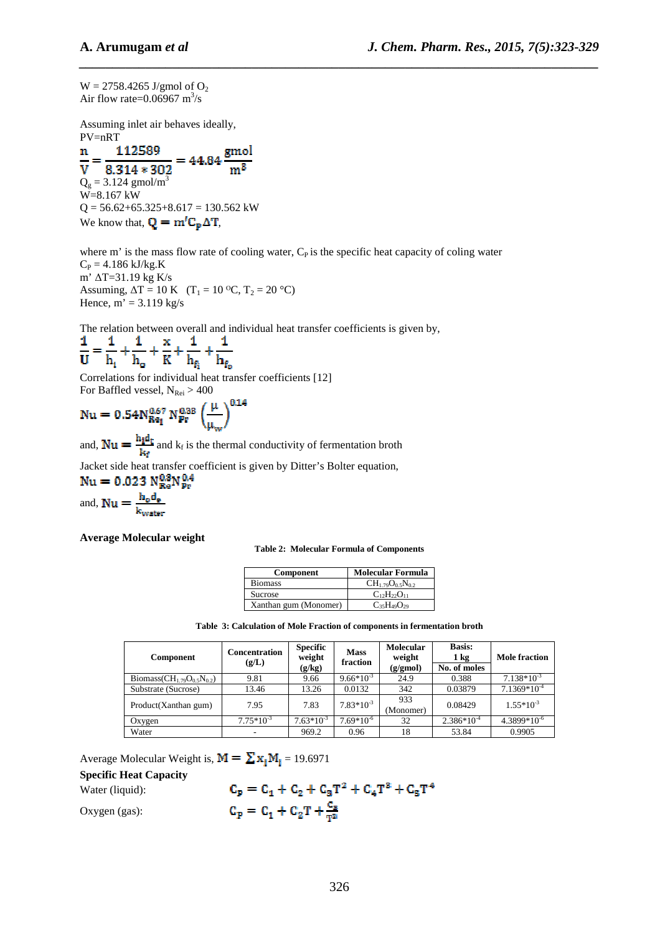$W = 2758.4265$  J/gmol of  $O_2$ Air flow rate= $0.06967$  m<sup>3</sup>/s

Assuming inlet air behaves ideally, PV=nRT

 $=44.84\frac{\text{gmol}}{\text{m}^3}$ 112589 n  $m<sup>3</sup>$  $V = 8.314 * 302$ <br>Q<sub>g</sub> = 3.124 gmol/m<sup>3</sup>  $\overline{\mathbf{v}}$ W=8.167 kW  $Q = 56.62 + 65.325 + 8.617 = 130.562$  kW We know that,  $\mathbf{Q} = \mathbf{m}' \mathbf{C}_{\mathbf{p}} \Delta \mathbf{T}$ ,

where  $m'$  is the mass flow rate of cooling water,  $C<sub>P</sub>$  is the specific heat capacity of coling water  $C_P = 4.186 \text{ kJ/kg.K}$ m' ∆T=31.19 kg K/s Assuming,  $\Delta T = 10 \text{ K}$  (T<sub>1</sub> = 10 <sup>o</sup>C, T<sub>2</sub> = 20 <sup>o</sup>C) Hence,  $\overline{m'} = 3.119$  kg/s

*\_\_\_\_\_\_\_\_\_\_\_\_\_\_\_\_\_\_\_\_\_\_\_\_\_\_\_\_\_\_\_\_\_\_\_\_\_\_\_\_\_\_\_\_\_\_\_\_\_\_\_\_\_\_\_\_\_\_\_\_\_\_\_\_\_\_\_\_\_\_\_\_\_\_\_\_\_\_*

The relation between overall and individual heat transfer coefficients is given by,

$$
\frac{1}{U} = \frac{1}{h_i} + \frac{1}{h_o} + \frac{x}{K} + \frac{1}{h_{f_i}} + \frac{1}{h_{f_o}}
$$

Correlations for individual heat transfer coefficients [12] For Baffled vessel,  $N_{\text{Rei}} > 400$ 

$$
Nu = 0.54 N_{Re_{\rm I}}^{0.67} \, N_{Pr}^{0.33} \, \left(\frac{\mu}{\mu_{\rm ov}}\right)^{0.14}
$$

and,  $\mathbf{Nu} = \frac{m}{h}$  and  $k_f$  is the thermal conductivity of fermentation broth

Jacket side heat transfer coefficient is given by Ditter's Bolter equation,<br> $Nu = 0.023 N_{\text{Re}}^{0.8} N_{\text{Pr}}^{0.4}$ 

 $\frac{\mathbf{h}_a \mathbf{d}_e}{\mathbf{k}_{\text{water}}}$ and, Nu:

**Average Molecular weight** 

**Table 2: Molecular Formula of Components** 

| <b>Component</b>      | <b>Molecular Formula</b>  |
|-----------------------|---------------------------|
| <b>Biomass</b>        | $CH_{1.79}O_{0.5}N_{0.2}$ |
| Sucrose               | $C_{12}H_{22}O_{11}$      |
| Xanthan gum (Monomer) | $C_{35}H_{49}O_{29}$      |

| Table 3: Calculation of Mole Fraction of components in fermentation broth |  |
|---------------------------------------------------------------------------|--|
|---------------------------------------------------------------------------|--|

| <b>Component</b>                     | <b>Concentration</b><br>(g/L) | <b>Specific</b><br>weight<br>(g/kg) | <b>Mass</b><br>fraction | <b>Molecular</b><br>weight<br>$(g/\text{gmol})$ | <b>Basis:</b><br>1 kg<br>No. of moles | <b>Mole fraction</b> |
|--------------------------------------|-------------------------------|-------------------------------------|-------------------------|-------------------------------------------------|---------------------------------------|----------------------|
| Biomass( $CH_{1.79}O_{0.5}N_{0.2}$ ) | 9.81                          | 9.66                                | $9.66*10^{-3}$          | 24.9                                            | 0.388                                 | $7.138*10^{-3}$      |
| Substrate (Sucrose)                  | 13.46                         | 13.26                               | 0.0132                  | 342                                             | 0.03879                               | $7.1369*10^{-4}$     |
| Product(Xanthan gum)                 | 7.95                          | 7.83                                | $7.83*10^{-3}$          | 933<br>(Monomer)                                | 0.08429                               | $1.55*10^{-3}$       |
| Oxygen                               | $7.75*10^{-3}$                | $7.63*10^{-3}$                      | $7.69*10^{-6}$          | 32                                              | $2.386*10^{-4}$                       | $4.3899*10^{6}$      |
| Water                                | $\overline{\phantom{a}}$      | 969.2                               | 0.96                    | 18                                              | 53.84                                 | 0.9905               |

Average Molecular Weight is,  $M = \sum x_i M_i = 19.6971$ 

**Specific Heat Capacity** 

Water (liquid):

$$
C_p = C_1 + C_2 + C_3T^2 + C_4T^3 + C_5T^4
$$
  

$$
C_p = C_1 + C_2T + \frac{C_5}{T^2}
$$

Oxygen (gas):

326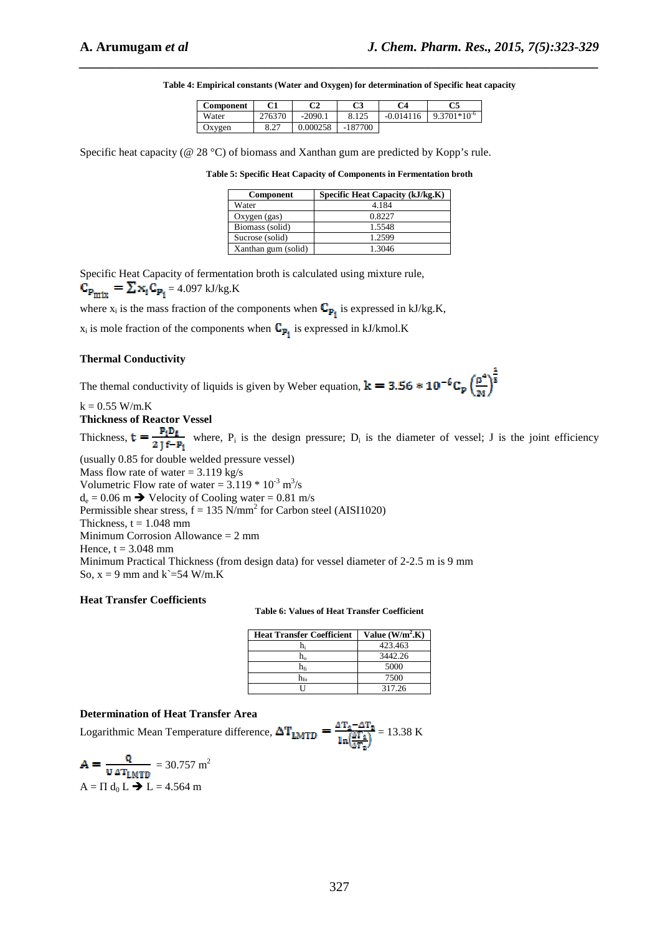| Component | М1             | o٦<br>◡▵  | r٦<br>w           | Ω4 | C5                    |
|-----------|----------------|-----------|-------------------|----|-----------------------|
| Water     | OD             | $-2090.1$ | $1 \cap \epsilon$ |    | ;701*10 <sup>-6</sup> |
| Oxygen    | 0.27<br>، ے. ن | )00258    | -                 |    |                       |

*\_\_\_\_\_\_\_\_\_\_\_\_\_\_\_\_\_\_\_\_\_\_\_\_\_\_\_\_\_\_\_\_\_\_\_\_\_\_\_\_\_\_\_\_\_\_\_\_\_\_\_\_\_\_\_\_\_\_\_\_\_\_\_\_\_\_\_\_\_\_\_\_\_\_\_\_\_\_*

**Table 4: Empirical constants (Water and Oxygen) for determination of Specific heat capacity** 

Specific heat capacity (@ 28 °C) of biomass and Xanthan gum are predicted by Kopp's rule.

| Table 5: Specific Heat Capacity of Components in Fermentation broth |  |  |  |
|---------------------------------------------------------------------|--|--|--|
|---------------------------------------------------------------------|--|--|--|

| <b>Component</b>    | Specific Heat Capacity (kJ/kg.K) |
|---------------------|----------------------------------|
| Water               | 4.184                            |
| Oxygen (gas)        | 0.8227                           |
| Biomass (solid)     | 1.5548                           |
| Sucrose (solid)     | 1.2599                           |
| Xanthan gum (solid) | 1.3046                           |

Specific Heat Capacity of fermentation broth is calculated using mixture rule,  $\mathbf{C}_{\mathbf{P}_{\text{mix}}} = \sum \mathbf{x}_i \mathbf{C}_{\mathbf{P}_i} = 4.097 \text{ kJ/kg.K}$ 

where  $x_i$  is the mass fraction of the components when  $\mathbf{C}_{\mathbf{p_i}}$  is expressed in kJ/kg.K,

 $x_i$  is mole fraction of the components when  $C_{\mathbf{P_i}}$  is expressed in kJ/kmol.K

#### **Thermal Conductivity**

The themal conductivity of liquids is given by Weber equation,  $k = 3.56 * 10^{-6}C_p \left(\frac{p^4}{n^2}\right)^{\frac{1}{3}}$ 

 $k = 0.55$  W/m.K

**Thickness of Reactor Vessel** 

Thickness,  $t = \frac{1}{2}$  where,  $P_i$  is the design pressure;  $D_i$  is the diameter of vessel; J is the joint efficiency (usually 0.85 for double welded pressure vessel)

Mass flow rate of water  $= 3.119$  kg/s Volumetric Flow rate of water =  $3.119 * 10^{-3}$  m<sup>3</sup>/s  $d_e = 0.06$  m  $\rightarrow$  Velocity of Cooling water = 0.81 m/s Permissible shear stress,  $f = 135$  N/mm<sup>2</sup> for Carbon steel (AISI1020) Thickness,  $t = 1.048$  mm Minimum Corrosion Allowance = 2 mm Hence,  $t = 3.048$  mm Minimum Practical Thickness (from design data) for vessel diameter of 2-2.5 m is 9 mm So,  $x = 9$  mm and  $k = 54$  W/m.K

#### **Heat Transfer Coefficients**

**Table 6: Values of Heat Transfer Coefficient** 

| <b>Heat Transfer Coefficient</b> | Value $(W/m2$ .K) |
|----------------------------------|-------------------|
| h                                | 423.463           |
| h.                               | 3442.26           |
| he                               | 5000              |
| $\rm h_{fo}$                     | 7500              |
|                                  | 317.26            |

## **Determination of Heat Transfer Area**

Logarithmic Mean Temperature difference,  $\Delta T_{LMTD} = \frac{\Delta T_4 - \Delta T_8}{\ln(\frac{3T_4}{\Delta T_8})} = 13.38 \text{ K}$ 

$$
\mathbf{A} = \frac{\mathbf{Q}}{\mathbf{U} \Delta \mathbf{T}_{\text{LMTD}}} = 30.757 \text{ m}^2
$$

$$
\mathbf{A} = \Pi \mathbf{d}_0 \mathbf{L} \blacktriangleright \mathbf{L} = 4.564 \text{ m}
$$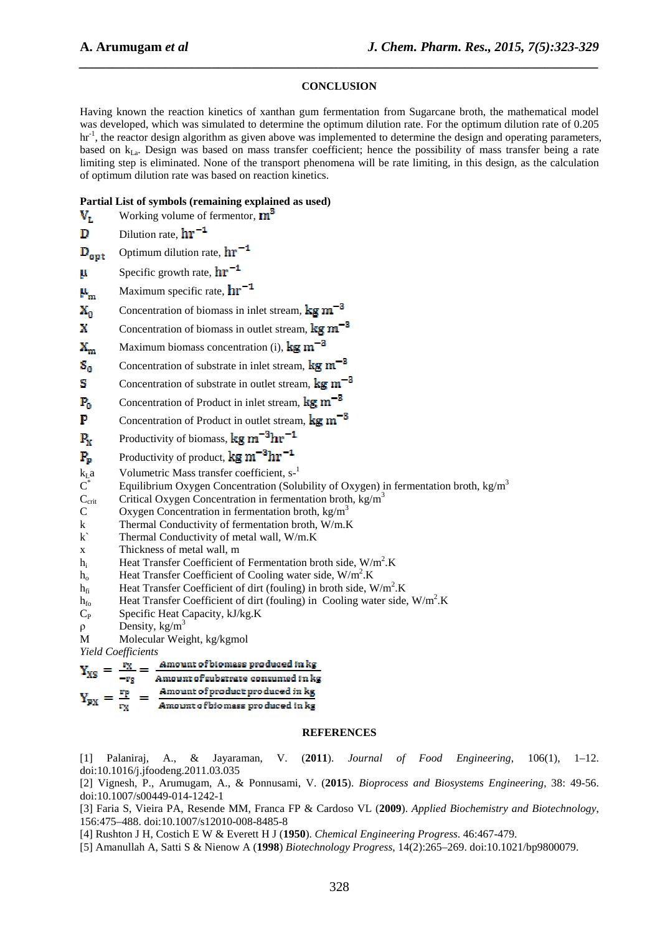## **CONCLUSION**

*\_\_\_\_\_\_\_\_\_\_\_\_\_\_\_\_\_\_\_\_\_\_\_\_\_\_\_\_\_\_\_\_\_\_\_\_\_\_\_\_\_\_\_\_\_\_\_\_\_\_\_\_\_\_\_\_\_\_\_\_\_\_\_\_\_\_\_\_\_\_\_\_\_\_\_\_\_\_*

Having known the reaction kinetics of xanthan gum fermentation from Sugarcane broth, the mathematical model was developed, which was simulated to determine the optimum dilution rate. For the optimum dilution rate of 0.205 hr<sup>-1</sup>, the reactor design algorithm as given above was implemented to determine the design and operating parameters, based on  $k_{La}$ . Design was based on mass transfer coefficient; hence the possibility of mass transfer being a rate limiting step is eliminated. None of the transport phenomena will be rate limiting, in this design, as the calculation of optimum dilution rate was based on reaction kinetics.

## **Partial List of symbols (remaining explained as used)**

| $V_{L}$                          | Working volume of fermentor, $\mathbf{m}^3$                                                                                                                                                                                                                                                                                                                                                                                          |
|----------------------------------|--------------------------------------------------------------------------------------------------------------------------------------------------------------------------------------------------------------------------------------------------------------------------------------------------------------------------------------------------------------------------------------------------------------------------------------|
| D                                | Dilution rate, $\ln^{-1}$                                                                                                                                                                                                                                                                                                                                                                                                            |
| $D_{opt}$                        | Optimum dilution rate, $hr^{-1}$                                                                                                                                                                                                                                                                                                                                                                                                     |
| μ                                | Specific growth rate, $\ln^{-1}$                                                                                                                                                                                                                                                                                                                                                                                                     |
| $\mu_{_M}$                       | Maximum specific rate, $hr^{-1}$                                                                                                                                                                                                                                                                                                                                                                                                     |
| $\mathbf{x}_{\mathbf{a}}$        | Concentration of biomass in inlet stream, $\text{kg m}^{-3}$                                                                                                                                                                                                                                                                                                                                                                         |
| x                                | Concentration of biomass in outlet stream, $\text{kg m}^{-3}$                                                                                                                                                                                                                                                                                                                                                                        |
| $\mathbf{X}_{m}$                 | Maximum biomass concentration (i), $\text{kg m}^{-8}$                                                                                                                                                                                                                                                                                                                                                                                |
| $S_0$                            | Concentration of substrate in inlet stream, $\text{kg m}^{-3}$                                                                                                                                                                                                                                                                                                                                                                       |
| s                                | Concentration of substrate in outlet stream, $\text{kg m}^{-3}$                                                                                                                                                                                                                                                                                                                                                                      |
| $P_0$                            | Concentration of Product in inlet stream, $\text{kg m}^{-3}$                                                                                                                                                                                                                                                                                                                                                                         |
| P                                | Concentration of Product in outlet stream, $\text{kg m}^{-3}$                                                                                                                                                                                                                                                                                                                                                                        |
| $P_x$                            | Productivity of biomass, $\text{kg m}^{-3} \text{hr}^{-1}$                                                                                                                                                                                                                                                                                                                                                                           |
| $P_p$                            | Productivity of product, $\text{kg m}^{-3} \text{hr}^{-1}$                                                                                                                                                                                                                                                                                                                                                                           |
| $k_{\mathrm{L}}a$ $\mathrm{C}^*$ | Volumetric Mass transfer coefficient, s-1                                                                                                                                                                                                                                                                                                                                                                                            |
|                                  | Equilibrium Oxygen Concentration (Solubility of Oxygen) in fermentation broth, kg/m <sup>3</sup>                                                                                                                                                                                                                                                                                                                                     |
| $C_{\rm crit}$                   | Critical Oxygen Concentration in fermentation broth, $kg/m3$                                                                                                                                                                                                                                                                                                                                                                         |
| $\mathcal{C}$                    | Oxygen Concentration in fermentation broth, $\text{kg/m}^3$                                                                                                                                                                                                                                                                                                                                                                          |
| k                                | Thermal Conductivity of fermentation broth, W/m.K                                                                                                                                                                                                                                                                                                                                                                                    |
| k                                | Thermal Conductivity of metal wall, W/m.K                                                                                                                                                                                                                                                                                                                                                                                            |
| X                                | Thickness of metal wall, m                                                                                                                                                                                                                                                                                                                                                                                                           |
| $h_i$                            | Heat Transfer Coefficient of Fermentation broth side, W/m <sup>2</sup> .K                                                                                                                                                                                                                                                                                                                                                            |
| $h_{o}$                          | Heat Transfer Coefficient of Cooling water side, W/m <sup>2</sup> .K                                                                                                                                                                                                                                                                                                                                                                 |
| $h_{fi}$                         | Heat Transfer Coefficient of dirt (fouling) in broth side, $W/m^2$ .K                                                                                                                                                                                                                                                                                                                                                                |
| $h_{\rm fo}$                     | Heat Transfer Coefficient of dirt (fouling) in Cooling water side, $W/m2$ .K                                                                                                                                                                                                                                                                                                                                                         |
| $C_{P}$                          | Specific Heat Capacity, kJ/kg.K                                                                                                                                                                                                                                                                                                                                                                                                      |
| $\rho$                           | Density, $kg/m3$                                                                                                                                                                                                                                                                                                                                                                                                                     |
| M                                | Molecular Weight, kg/kgmol                                                                                                                                                                                                                                                                                                                                                                                                           |
|                                  | <b>Yield Coefficients</b>                                                                                                                                                                                                                                                                                                                                                                                                            |
|                                  | $Y_{\text{XS}} = \frac{Y_{\text{X}}}{Y_{\text{XS}}} = \frac{X_{\text{amount}}}{Y_{\text{X}} - Y_{\text{X}} - Y_{\text{X}} - Y_{\text{X}} - Y_{\text{X}} - Y_{\text{X}} - Y_{\text{X}} - Y_{\text{X}} - Y_{\text{X}} - Y_{\text{X}} - Y_{\text{X}} - Y_{\text{X}} - Y_{\text{X}} - Y_{\text{X}} - Y_{\text{X}} - Y_{\text{X}} - Y_{\text{X}} - Y_{\text{X}} - Y_{\text{X}} - Y_{\text{X}} - Y_{\text{X}} - Y_{\text{X}} - Y_{\text{X$ |
|                                  |                                                                                                                                                                                                                                                                                                                                                                                                                                      |

$$
-r_S
$$
 Amount of subsetrate consumed in kg

Amount of product produced in kg<br>Amount of biomass produced in kg  $Y_{px} = \frac{rp}{ry}$ 

## **REFERENCES**

[1] Palaniraj, A., & Jayaraman, V. (**2011**). *Journal of Food Engineering*, 106(1), 1–12. doi:10.1016/j.jfoodeng.2011.03.035

[2] Vignesh, P., Arumugam, A., & Ponnusami, V. (**2015**). *Bioprocess and Biosystems Engineering*, 38: 49-56. doi:10.1007/s00449-014-1242-1

[3] Faria S, Vieira PA, Resende MM, Franca FP & Cardoso VL (**2009**). *Applied Biochemistry and Biotechnology*, 156:475–488. doi:10.1007/s12010-008-8485-8

[4] Rushton J H, Costich E W & Everett H J (**1950**). *Chemical Engineering Progress*. 46:467-479.

[5] Amanullah A, Satti S & Nienow A (**1998**) *Biotechnology Progress*, 14(2):265–269. doi:10.1021/bp9800079.